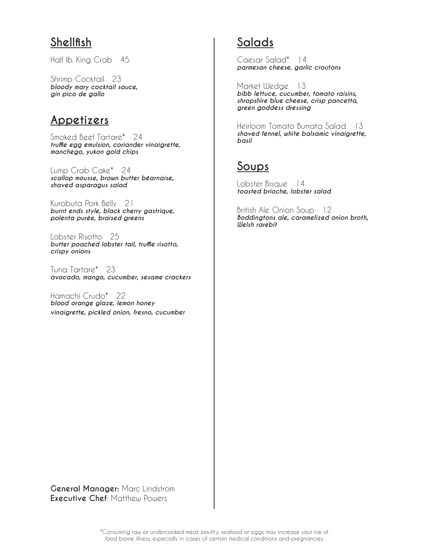# **Shellfish**

Half lb. King Crab 45

Shrimp Cocktail 23 *bloody mary cocktail sauce, gin pico de gallo*

## **Appetizers**

Smoked Beef Tartare\* 24 *truffle egg emulsion, coriander vinaigrette, manchego, yukon gold chips*

Lump Crab Cake\* 24 *scallop mousse, brown butter béarnaise, shaved asparagus salad*

Kurobuta Pork Belly 21 *burnt ends style, black cherry gastrique, polenta purée, braised greens*

Lobster Risotto 25 *butter poached lobster tail, truffle risotto, crispy onions*

Tuna Tartare\* 23 *avocado, mango, cucumber, sesame crackers*

Hamachi Crudo\* 22 *blood orange glaze, lemon honey vinaigrette, pickled onion, fresno, cucumber*

# **Salads**

Caesar Salad\* 14 *parmesan cheese, garlic croutons*

Market Wedge 13 *bibb lettuce, cucumber, tomato raisins, shropshire blue cheese, crisp pancetta, green goddess dressing*

Heirloom Tomato Burrata Salad 13 *shaved fennel, white balsamic vinaigrette, basil*

# **Soups**

Lobster Bisque 14 *toasted brioche, lobster salad*

British Ale Onion Soup 12 *Boddingtons ale, caramelized onion broth, Welsh rarebit*

**General Manager:** Marc Lindstrom **Executive Chef**: Matthew Powers